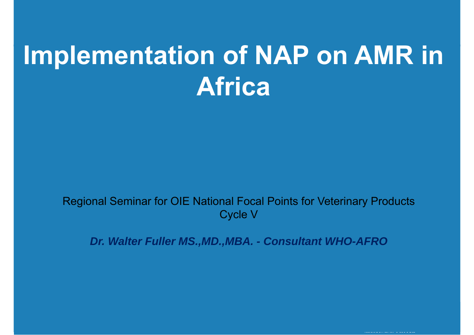# **Implementation of NAP on AMR in Africa**

Regional Seminar for OIE National Focal Points for Veterinary Products Cycle V

*Dr. Walter Fuller MS.,MD.,MBA. - Consultant WHO-AFRO*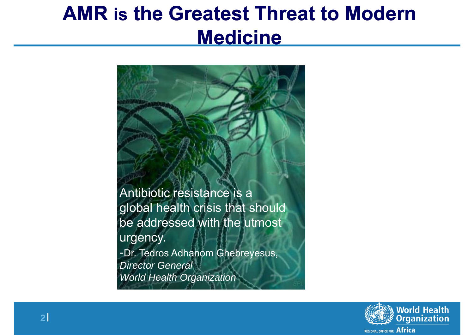## **AMR is the Greatest Threat to Modern Medicine**

Antibiotic resistance is a global health crisis that should be addressed with the utmost urgency. -Dr. Tedros Adhanom Ghebreyesus, *Director General World Health Organization*

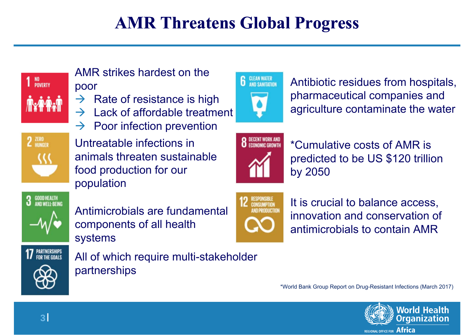#### **AMR Threatens Global Progress**



AMR strikes hardest on the poor

- $\rightarrow$  Rate of resistance is high
- $\rightarrow$ Lack of affordable treatment
- $\rightarrow$ Poor infection prevention

Untreatable infections in animals threaten sustainable food production for our population



Antimicrobials are fundamental components of all health systems



All of which require multi-stakeholder partnerships



Antibiotic residues from hospitals, pharmaceutical companies and agriculture contaminate the water



\*Cumulative costs of AMR is predicted to be US \$120 trillion by 2050



It is crucial to balance access, innovation and conservation of antimicrobials to contain AMR

\*World Bank Group Report on Drug-Resistant Infections (March 2017)

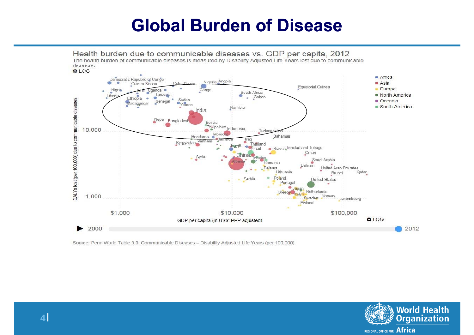#### **Global Burden of Disease**



Source: Penn World Table 9.0, Communicable Diseases - Disability Adjusted Life Years (per 100,000)

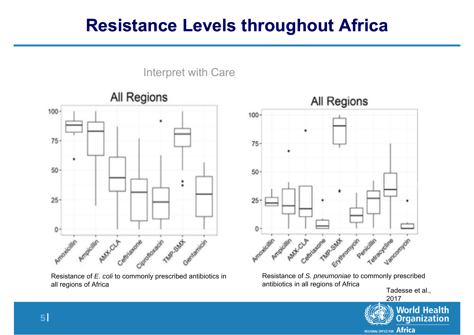#### **Resistance Levels throughout Africa**



Resistance of *E. coli* to commonly prescribed antibiotics in all regions of Africa



Resistance of *S. pneumoniae* to commonly prescribed antibiotics in all regions of Africa

Tadesse et al., 2017



Interpret with Care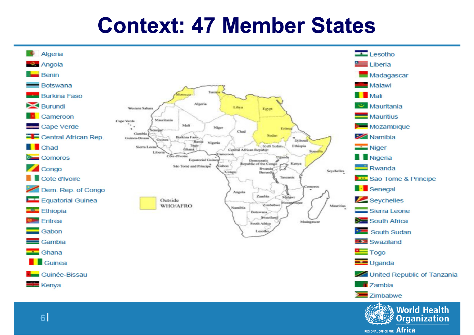## **Context: 47 Member States**



REGIONAL OFFICE FOR Africa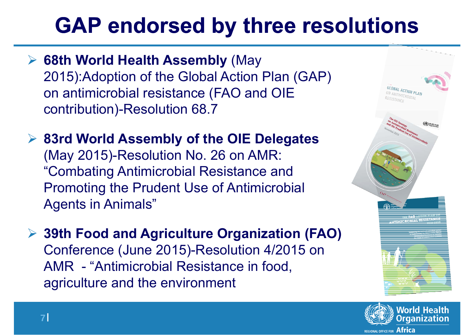# **GAP endorsed by three resolutions**

- **68th World Health Assembly** (May 2015):Adoption of the Global Action Plan (GAP) on antimicrobial resistance (FAO and OIE contribution)-Resolution 68.7
- **83rd World Assembly of the OIE Delegates**  (May 2015)-Resolution No. 26 on AMR: "Combating Antimicrobial Resistance and Promoting the Prudent Use of Antimicrobial Agents in Animals"
- **39th Food and Agriculture Organization (FAO)**  Conference (June 2015)-Resolution 4/2015 on AMR - "Antimicrobial Resistance in food, agriculture and the environment



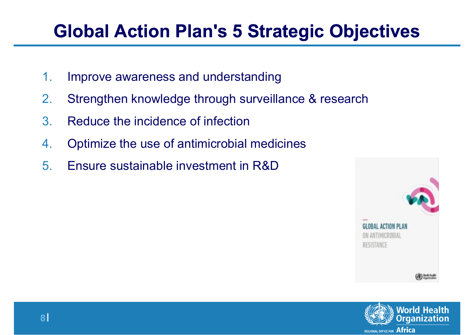## **Global Action Plan's 5 Strategic Objectives**

- 1.Improve awareness and understanding
- 2.Strengthen knowledge through surveillance & research
- 3.Reduce the incidence of infection
- 4.Optimize the use of antimicrobial medicines
- 5.Ensure sustainable investment in R&D



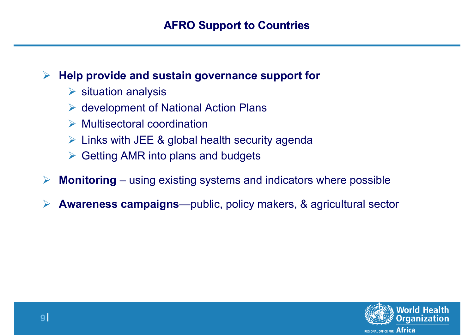#### $\blacktriangleright$ **Help provide and sustain governance support for**

- $\triangleright$  situation analysis
- $\triangleright$  development of National Action Plans
- $\triangleright$  Multisectoral coordination
- $\triangleright$  Links with JEE & global health security agenda
- $\triangleright$  Getting AMR into plans and budgets
- $\blacktriangleright$ **Monitoring** – using existing systems and indicators where possible
- $\blacktriangleright$ **Awareness campaigns**—public, policy makers, & agricultural sector

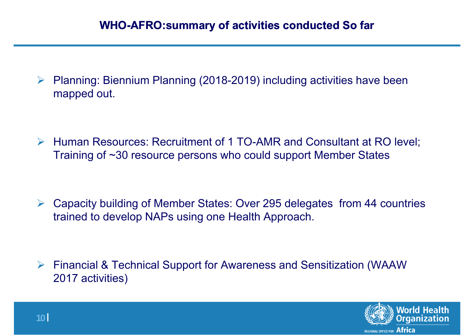$\sum_{i=1}^{n}$  Planning: Biennium Planning (2018-2019) including activities have been mapped out.

 Human Resources: Recruitment of 1 TO-AMR and Consultant at RO level; Training of ~30 resource persons who could support Member States

 $\blacktriangleright$  Capacity building of Member States: Over 295 delegates from 44 countries trained to develop NAPs using one Health Approach.

 $\blacktriangleright$  Financial & Technical Support for Awareness and Sensitization (WAAW 2017 activities)

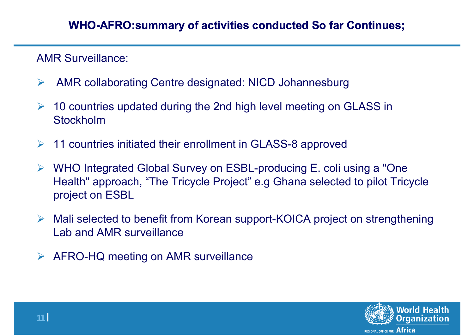AMR Surveillance:

- $\blacktriangleright$ AMR collaborating Centre designated: NICD Johannesburg
- $\blacktriangleright$  10 countries updated during the 2nd high level meeting on GLASS in Stockholm
- $\blacktriangleright$ 11 countries initiated their enrollment in GLASS-8 approved
- $\sum_{i=1}^{n}$  WHO Integrated Global Survey on ESBL-producing E. coli using a "One Health" approach, "The Tricycle Project" e.g Ghana selected to pilot Tricycle project on ESBL
- $\blacktriangleright$  Mali selected to benefit from Korean support-KOICA project on strengthening Lab and AMR surveillance
- $\sum_{i=1}^{n}$ AFRO-HQ meeting on AMR surveillance

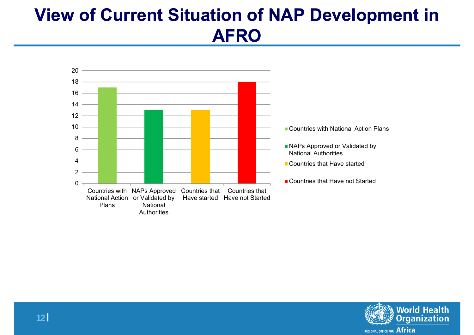### **View of Current Situation of NAP Development in AFRO**



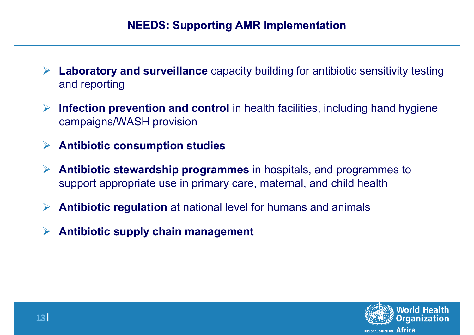- **Laboratory and surveillance** capacity building for antibiotic sensitivity testing and reporting
- $\blacktriangleright$  **Infection prevention and control** in health facilities, including hand hygiene campaigns/WASH provision
- **Antibiotic consumption studies**
- **Antibiotic stewardship programmes** in hospitals, and programmes to support appropriate use in primary care, maternal, and child health
- $\blacktriangleright$ **Antibiotic regulation** at national level for humans and animals
- $\blacktriangleright$ **Antibiotic supply chain management**

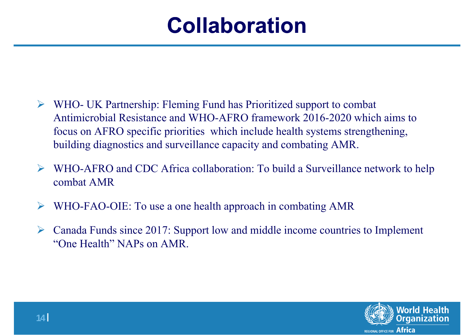# **Collaboration**

- $\blacktriangleright$  WHO- UK Partnership: Fleming Fund has Prioritized support to combat Antimicrobial Resistance and WHO-AFRO framework 2016-2020 which aims to focus on AFRO specific priorities which include health systems strengthening, building diagnostics and surveillance capacity and combating AMR.
- $\blacktriangleright$  WHO-AFRO and CDC Africa collaboration: To build a Surveillance network to help combat AMR
- $\blacktriangleright$ WHO-FAO-OIE: To use a one health approach in combating AMR
- $\blacktriangleright$  Canada Funds since 2017: Support low and middle income countries to Implement "One Health" NAPs on AMR.

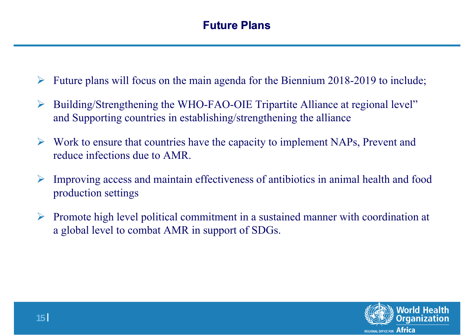- $\blacktriangleright$ Future plans will focus on the main agenda for the Biennium 2018-2019 to include;
- $\blacktriangleright$  Building/Strengthening the WHO-FAO-OIE Tripartite Alliance at regional level" and Supporting countries in establishing/strengthening the alliance
- $\sum_{i=1}^{n}$  Work to ensure that countries have the capacity to implement NAPs, Prevent and reduce infections due to AMR.
- $\blacktriangleright$  Improving access and maintain effectiveness of antibiotics in animal health and food production settings
- $\blacktriangleright$  Promote high level political commitment in a sustained manner with coordination at a global level to combat AMR in support of SDGs.